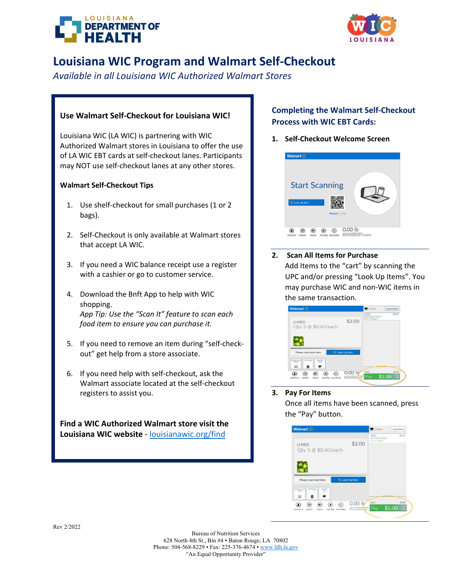



# **Louisiana WIC Program and Walmart Self-Checkout**

*Available in all Louisiana WIC Authorized Walmart Stores* 

## **Use Walmart Self-Checkout for Louisiana WIC!**

Louisiana WIC (LA WIC) is partnering with WIC Authorized Walmart stores in Louisiana to offer the use of LA WIC EBT cards at self-checkout lanes. Participants may NOT use self-checkout lanes at any other stores.

## **Walmart Self-Checkout Tips**

- 1. Use shelf-checkout for small purchases (1 or 2 bags).
- 2. Self-Checkout is only available at Walmart stores that accept LA WIC.
- 3. If you need a WIC balance receipt use a register with a cashier or go to customer service.
- 4. Download the Bnft App to help with WIC shopping. *App Tip: Use the "Scan It" feature to scan each food item to ensure you can purchase it.*
- 5. If you need to remove an item during "self-checkout" get help from a store associate.
- 6. If you need help with self-checkout, ask the Walmart associate located at the self-checkout registers to assist you.

**Find a WIC Authorized Walmart store visit the Louisiana WIC website** - [louisianawic.org/find](https://louisianawic.org/find/)

## **Completing the Walmart Self-Checkout Process with WIC EBT Cards:**

**1. Self-Checkout Welcome Screen**



**2. Scan All Items for Purchase**  Add Items to the "cart" by scanning the UPC and/or pressing "Look Up Items". You may purchase WIC and non-WIC items in the same transaction.

| Walmart >2                                                                 |                           | Sitems              | <b>Castle anno</b><br>(319) |
|----------------------------------------------------------------------------|---------------------------|---------------------|-----------------------------|
| <b>LIMES</b><br>Qty 5 @ \$0.40/each                                        | \$2.00                    | <u> The</u>         |                             |
| Please scannext item.                                                      | Q. Look Up Rem            |                     |                             |
| <b>SA Rease</b><br>557<br>œ<br>в                                           |                           |                     |                             |
| ma<br><b>GenEso</b> Accounting<br><b>Artistance</b><br>España<br>$152 - 2$ | aaa iy<br><b>Property</b> | <b>Total</b><br>Pay | \$2.00<br>\$2.00            |

### **3. Pay For Items**

Once all items have been scanned, press the "Pay" button.

| Walmart <sup>1</sup>                                                                      |                                                                         | Sitems                                              | <b>Cancel Berry</b> |
|-------------------------------------------------------------------------------------------|-------------------------------------------------------------------------|-----------------------------------------------------|---------------------|
| LIMES<br>Qty 5 @ \$0.40/each                                                              | \$2.00                                                                  | 18-TA<br>Other and All Alliances<br>or loot located | \$3.00              |
| Q. Look Up from<br>Please scan next item.                                                 |                                                                         |                                                     |                     |
| <b>GAT Racerant</b><br>Assroit.<br><b>Fishna-Tuzon</b><br>$-200$<br><b>Call</b><br>血<br>о |                                                                         | Total                                               | \$3.00              |
| ⊛<br>⋒<br>◉<br>G0<br>Θ<br>Assistance<br>Español<br>Vikin<br><b>Chain Bad</b>              | 0.001b<br>$\frac{48}{10} + 0 + 0 + 0.0116, 0.98 \frac{1}{1000} + 33.00$ | Pay                                                 | \$2.00              |